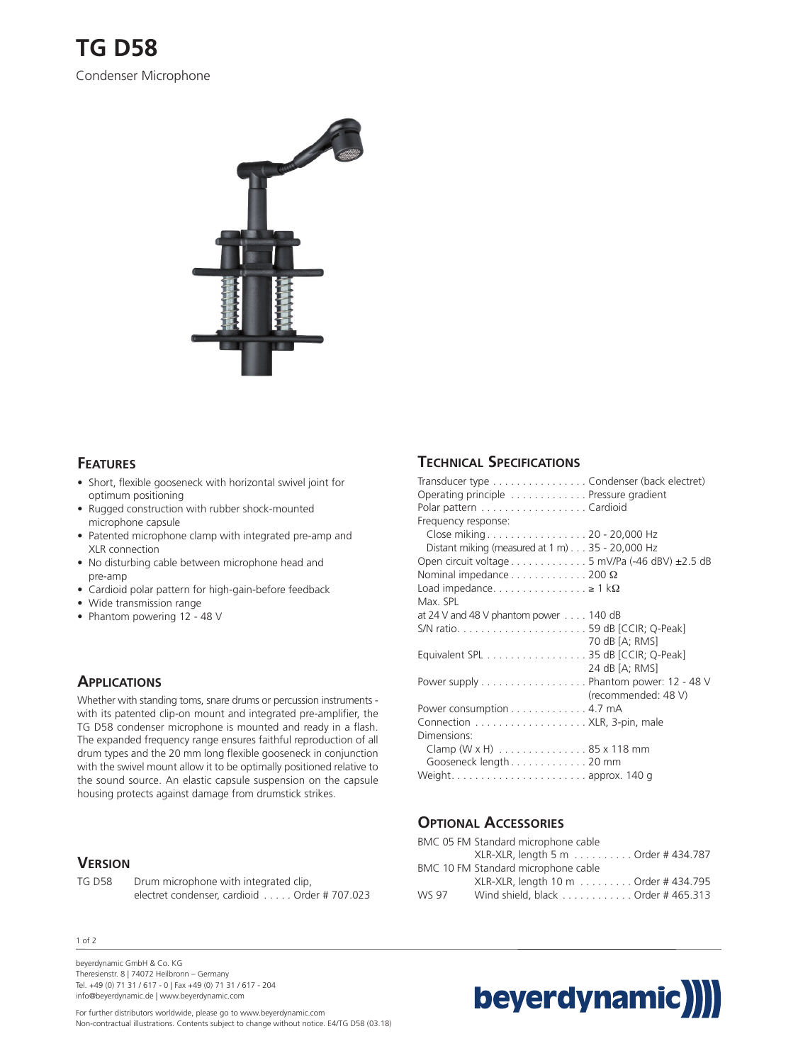

## **FEATURES**

- Short, flexible gooseneck with horizontal swivel joint for optimum positioning
- Rugged construction with rubber shock-mounted microphone capsule
- Patented microphone clamp with integrated pre-amp and XLR connection
- No disturbing cable between microphone head and pre-amp
- Cardioid polar pattern for high-gain-before feedback
- Wide transmission range
- Phantom powering 12 48 V

## **APPLICATIONS**

Whether with standing toms, snare drums or percussion instruments with its patented clip-on mount and integrated pre-amplifier, the TG D58 condenser microphone is mounted and ready in a flash. The expanded frequency range ensures faithful reproduction of all drum types and the 20 mm long flexible gooseneck in conjunction with the swivel mount allow it to be optimally positioned relative to the sound source. An elastic capsule suspension on the capsule housing protects against damage from drumstick strikes.

#### **VERSION**

TG D58 Drum microphone with integrated clip, electret condenser, cardioid . . . . . Order # 707.023

#### 1 of 2

beyerdynamic GmbH & Co. KG Theresienstr. 8 | 74072 Heilbronn – Germany Tel. +49 (0) 71 31 / 617 - 0 | Fax +49 (0) 71 31 / 617 - 204 info@beyerdynamic.de | www.beyerdynamic.com

For further distributors worldwide, please go to www.beyerdynamic.com Non-contractual illustrations. Contents subject to change without notice. E4/TG D58 (03.18)

# **TECHNICAL SPECIFICATIONS**

| Transducer type Condenser (back electret)<br>Operating principle Pressure gradient |
|------------------------------------------------------------------------------------|
| Polar pattern Cardioid                                                             |
| Frequency response:                                                                |
| Close miking20 - 20,000 Hz                                                         |
| Distant miking (measured at 1 m) 35 - 20,000 Hz                                    |
| Open circuit voltage $\dots \dots \dots \dots$ 5 mV/Pa (-46 dBV) $\pm 2.5$ dB      |
| Nominal impedance $\dots\dots\dots\dots$ 200 $\Omega$                              |
| Load impedance $\geq 1$ k $\Omega$                                                 |
| Max SPL                                                                            |
| at 24 V and 48 V phantom power $\ldots$ 140 dB                                     |
|                                                                                    |
| 70 dB [A; RMS]                                                                     |
| Equivalent SPL 35 dB [CCIR; Q-Peak]                                                |
| 24 dB [A; RMS]                                                                     |
| Power supply Phantom power: 12 - 48 V                                              |
| (recommended: 48 V)                                                                |
| Power consumption 4.7 mA                                                           |
|                                                                                    |
| Dimensions:                                                                        |
| Clamp (W x H) 85 x 118 mm                                                          |
| Gooseneck length 20 mm                                                             |
|                                                                                    |

#### **OPTIONAL ACCESSORIES**

|       | BMC 05 FM Standard microphone cable  |
|-------|--------------------------------------|
|       | XLR-XLR, length 5 m Order # 434.787  |
|       | BMC 10 FM Standard microphone cable  |
|       | XLR-XLR, length 10 m Order # 434.795 |
| WS 97 | Wind shield, black Order # 465.313   |

# beyerdynamic)